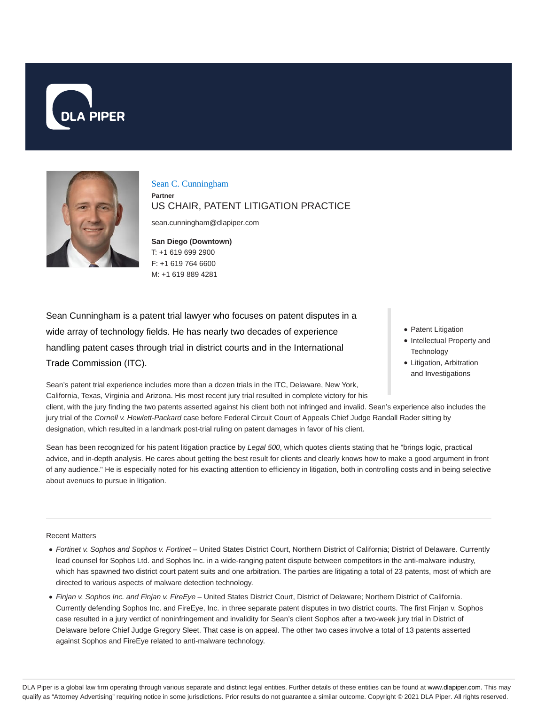



Sean C. Cunningham **Partner** US CHAIR, PATENT LITIGATION PRACTICE

sean.cunningham@dlapiper.com

**San Diego (Downtown)** T: +1 619 699 2900 F: +1 619 764 6600 M: +1 619 889 4281

Sean Cunningham is a patent trial lawyer who focuses on patent disputes in a wide array of technology fields. He has nearly two decades of experience handling patent cases through trial in district courts and in the International Trade Commission (ITC).

Sean's patent trial experience includes more than a dozen trials in the ITC, Delaware, New York, California, Texas, Virginia and Arizona. His most recent jury trial resulted in complete victory for his

- Patent Litigation
- Intellectual Property and **Technology**
- Litigation, Arbitration and Investigations

client, with the jury finding the two patents asserted against his client both not infringed and invalid. Sean's experience also includes the jury trial of the Cornell v. Hewlett-Packard case before Federal Circuit Court of Appeals Chief Judge Randall Rader sitting by designation, which resulted in a landmark post-trial ruling on patent damages in favor of his client.

Sean has been recognized for his patent litigation practice by Legal 500, which quotes clients stating that he "brings logic, practical advice, and in-depth analysis. He cares about getting the best result for clients and clearly knows how to make a good argument in front of any audience." He is especially noted for his exacting attention to efficiency in litigation, both in controlling costs and in being selective about avenues to pursue in litigation.

#### Recent Matters

- Fortinet v. Sophos and Sophos v. Fortinet United States District Court, Northern District of California; District of Delaware. Currently lead counsel for Sophos Ltd. and Sophos Inc. in a wide-ranging patent dispute between competitors in the anti-malware industry, which has spawned two district court patent suits and one arbitration. The parties are litigating a total of 23 patents, most of which are directed to various aspects of malware detection technology.
- Finjan v. Sophos Inc. and Finjan v. FireEye United States District Court, District of Delaware; Northern District of California. Currently defending Sophos Inc. and FireEye, Inc. in three separate patent disputes in two district courts. The first Finjan v. Sophos case resulted in a jury verdict of noninfringement and invalidity for Sean's client Sophos after a two-week jury trial in District of Delaware before Chief Judge Gregory Sleet. That case is on appeal. The other two cases involve a total of 13 patents asserted against Sophos and FireEye related to anti-malware technology.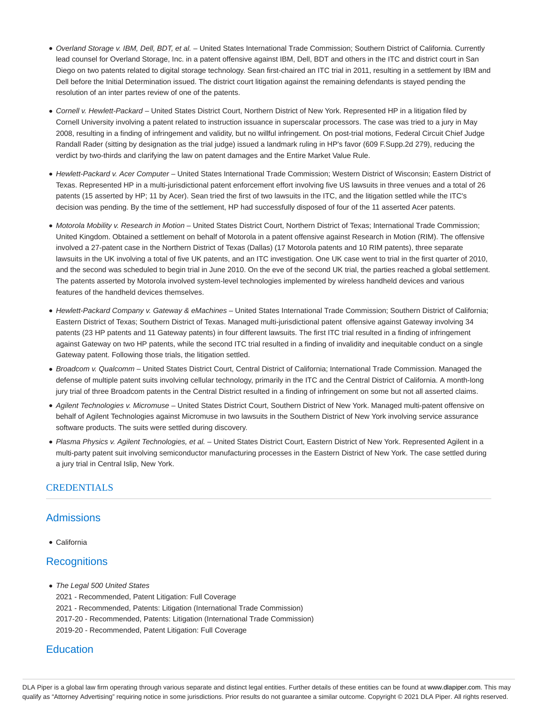- Overland Storage v. IBM, Dell, BDT, et al. United States International Trade Commission; Southern District of California. Currently lead counsel for Overland Storage, Inc. in a patent offensive against IBM, Dell, BDT and others in the ITC and district court in San Diego on two patents related to digital storage technology. Sean first-chaired an ITC trial in 2011, resulting in a settlement by IBM and Dell before the Initial Determination issued. The district court litigation against the remaining defendants is stayed pending the resolution of an inter partes review of one of the patents.
- Cornell v. Hewlett-Packard United States District Court, Northern District of New York. Represented HP in a litigation filed by Cornell University involving a patent related to instruction issuance in superscalar processors. The case was tried to a jury in May 2008, resulting in a finding of infringement and validity, but no willful infringement. On post-trial motions, Federal Circuit Chief Judge Randall Rader (sitting by designation as the trial judge) issued a landmark ruling in HP's favor (609 F.Supp.2d 279), reducing the verdict by two-thirds and clarifying the law on patent damages and the Entire Market Value Rule.
- Hewlett-Packard v. Acer Computer United States International Trade Commission; Western District of Wisconsin; Eastern District of Texas. Represented HP in a multi-jurisdictional patent enforcement effort involving five US lawsuits in three venues and a total of 26 patents (15 asserted by HP; 11 by Acer). Sean tried the first of two lawsuits in the ITC, and the litigation settled while the ITC's decision was pending. By the time of the settlement, HP had successfully disposed of four of the 11 asserted Acer patents.
- Motorola Mobility v. Research in Motion United States District Court, Northern District of Texas; International Trade Commission; United Kingdom. Obtained a settlement on behalf of Motorola in a patent offensive against Research in Motion (RIM). The offensive involved a 27-patent case in the Northern District of Texas (Dallas) (17 Motorola patents and 10 RIM patents), three separate lawsuits in the UK involving a total of five UK patents, and an ITC investigation. One UK case went to trial in the first quarter of 2010, and the second was scheduled to begin trial in June 2010. On the eve of the second UK trial, the parties reached a global settlement. The patents asserted by Motorola involved system-level technologies implemented by wireless handheld devices and various features of the handheld devices themselves.
- Hewlett-Packard Company v. Gateway & eMachines United States International Trade Commission; Southern District of California; Eastern District of Texas; Southern District of Texas. Managed multi-jurisdictional patent offensive against Gateway involving 34 patents (23 HP patents and 11 Gateway patents) in four different lawsuits. The first ITC trial resulted in a finding of infringement against Gateway on two HP patents, while the second ITC trial resulted in a finding of invalidity and inequitable conduct on a single Gateway patent. Following those trials, the litigation settled.
- Broadcom v. Qualcomm United States District Court, Central District of California; International Trade Commission. Managed the defense of multiple patent suits involving cellular technology, primarily in the ITC and the Central District of California. A month-long jury trial of three Broadcom patents in the Central District resulted in a finding of infringement on some but not all asserted claims.
- Agilent Technologies v. Micromuse United States District Court, Southern District of New York. Managed multi-patent offensive on behalf of Agilent Technologies against Micromuse in two lawsuits in the Southern District of New York involving service assurance software products. The suits were settled during discovery.
- Plasma Physics v. Agilent Technologies, et al. United States District Court, Eastern District of New York. Represented Agilent in a multi-party patent suit involving semiconductor manufacturing processes in the Eastern District of New York. The case settled during a jury trial in Central Islip, New York.

# CREDENTIALS

# Admissions

California

# **Recognitions**

- The Legal 500 United States
	- 2021 Recommended, Patent Litigation: Full Coverage
	- 2021 Recommended, Patents: Litigation (International Trade Commission)
	- 2017-20 Recommended, Patents: Litigation (International Trade Commission)
	- 2019-20 Recommended, Patent Litigation: Full Coverage

# **Education**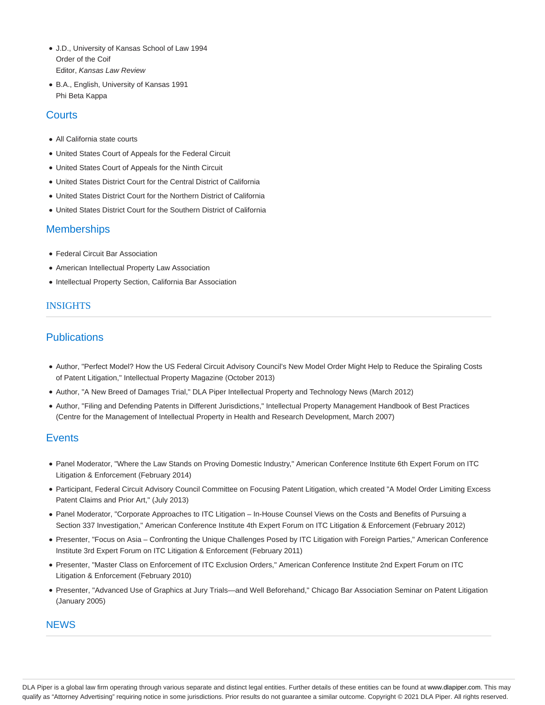- J.D., University of Kansas School of Law 1994 Order of the Coif Editor, Kansas Law Review
- B.A., English, University of Kansas 1991 Phi Beta Kappa

# **Courts**

- All California state courts
- United States Court of Appeals for the Federal Circuit
- United States Court of Appeals for the Ninth Circuit
- United States District Court for the Central District of California
- United States District Court for the Northern District of California
- United States District Court for the Southern District of California

# **Memberships**

- Federal Circuit Bar Association
- American Intellectual Property Law Association
- Intellectual Property Section, California Bar Association

# INSIGHTS

# **Publications**

- Author, "Perfect Model? How the US Federal Circuit Advisory Council's New Model Order Might Help to Reduce the Spiraling Costs of Patent Litigation," Intellectual Property Magazine (October 2013)
- Author, "A New Breed of Damages Trial," DLA Piper Intellectual Property and Technology News (March 2012)
- Author, "Filing and Defending Patents in Different Jurisdictions," Intellectual Property Management Handbook of Best Practices (Centre for the Management of Intellectual Property in Health and Research Development, March 2007)

# **Events**

- Panel Moderator, "Where the Law Stands on Proving Domestic Industry," American Conference Institute 6th Expert Forum on ITC Litigation & Enforcement (February 2014)
- Participant, Federal Circuit Advisory Council Committee on Focusing Patent Litigation, which created "A Model Order Limiting Excess Patent Claims and Prior Art," (July 2013)
- Panel Moderator, "Corporate Approaches to ITC Litigation In-House Counsel Views on the Costs and Benefits of Pursuing a Section 337 Investigation," American Conference Institute 4th Expert Forum on ITC Litigation & Enforcement (February 2012)
- Presenter, "Focus on Asia Confronting the Unique Challenges Posed by ITC Litigation with Foreign Parties," American Conference Institute 3rd Expert Forum on ITC Litigation & Enforcement (February 2011)
- Presenter, "Master Class on Enforcement of ITC Exclusion Orders," American Conference Institute 2nd Expert Forum on ITC Litigation & Enforcement (February 2010)
- Presenter, "Advanced Use of Graphics at Jury Trials—and Well Beforehand," Chicago Bar Association Seminar on Patent Litigation (January 2005)

# **NEWS**